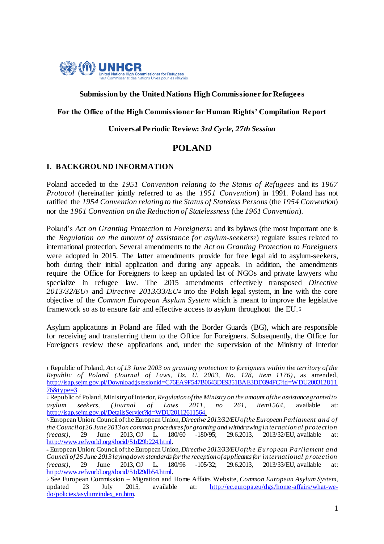

#### **Submission by the United Nations High Commissioner for Refugees**

#### **For the Office of the High Commissioner for Human Rights' Compilation Report**

#### **Universal Periodic Review:** *3rd Cycle, 27th Session*

## **POLAND**

## **I. BACKGROUND INFORMATION**

1

Poland acceded to the *1951 Convention relating to the Status of Refugees* and its *1967 Protocol* (hereinafter jointly referred to as the *1951 Convention*) in 1991. Poland has not ratified the *1954 Convention relating to the Status of Stateless Persons* (the *1954 Convention*) nor the *1961 Convention on the Reduction of Statelessness* (the *1961 Convention*).

Poland's *Act on Granting Protection to Foreigners*<sup>1</sup> and its bylaws (the most important one is the *Regulation on the amount of assistance for asylum-seekers2*) regulate issues related to international protection. Several amendments to the *Act on Granting Protection to Foreigners* were adopted in 2015. The latter amendments provide for free legal aid to asylum-seekers, both during their initial application and during any appeals. In addition, the amendments require the Office for Foreigners to keep an updated list of NGOs and private lawyers who specialize in refugee law. The 2015 amendments effectively transposed *Directive 2013/32/EU<sup>3</sup>* and *Directive 2013/33/EU<sup>4</sup>* into the Polish legal system, in line with the core objective of the *Common European Asylum System* which is meant to improve the legislative framework so as to ensure fair and effective access to asylum throughout the EU. <sup>5</sup>

Asylum applications in Poland are filled with the Border Guards (BG), which are responsible for receiving and transferring them to the Office for Foreigners. Subsequently, the Office for Foreigners review these applications and, under the supervision of the Ministry of Interior

<sup>1</sup> Republic of Poland, *Act of 13 June 2003 on granting protection to foreigners within the territory of the Republic of Poland (Journal of Laws, Dz. U. 2003, No. 128, item 1176)*, as amended, http://isap.sejm.gov.pl/Download;jsessionid=C76EA9F547B0643DE9351BAE3DD394FC?id=WDU200312811 76&type=3

<sup>2</sup> Republic of Poland, Ministry of Interior, *Regulation of the Ministry on the amount of the assistance granted to asylum seekers, (Journal of Laws 2011, no 261, item1564,* available at: http://isap.sejm.gov.pl/DetailsServlet?id=WDU20112611564.

<sup>3</sup> European Union: Council of the European Union, *Directive 2013/32/EU of the European Parliament and of the Council of 26 June 2013 on common procedures for granting and withdrawing international protection (recast)*, 29 June 2013, OJ L. 180/60 -180/95; 29.6.2013, 2013/32/EU, available at: http://www.refworld.org/docid/51d29b224.html.

<sup>4</sup> European Union: Council of the European Union, *Directive 2013/33/EU of the European Parliament and Council of 26 June 2013 laying down standards for the reception of applicants for international protection (recast)*, 29 June 2013, OJ L. 180/96 -105/32; 29.6.2013, 2013/33/EU, available at: http://www.refworld.org/docid/51d29db54.html.

<sup>5</sup> See European Commission – Migration and Home Affairs Website, *Common European Asylum System*, updated 23 July 2015, available at: http://ec.europa.eu/dgs/home-affairs/what-wedo/policies/asylum/index\_en.htm.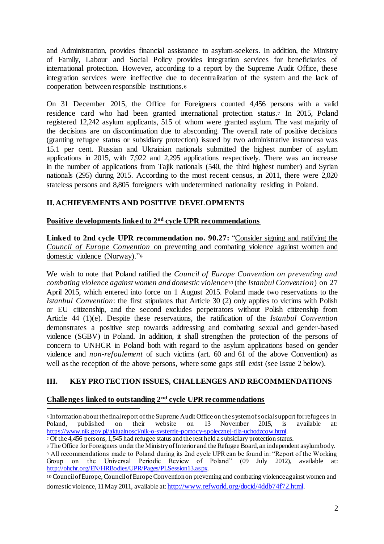and Administration, provides financial assistance to asylum-seekers. In addition, the Ministry of Family, Labour and Social Policy provides integration services for beneficiaries of international protection. However, according to a report by the Supreme Audit Office, these integration services were ineffective due to decentralization of the system and the lack of cooperation between responsible institutions.<sup>6</sup>

On 31 December 2015, the Office for Foreigners counted 4,456 persons with a valid residence card who had been granted international protection status.<sup>7</sup> In 2015, Poland registered 12,242 asylum applicants, 515 of whom were granted asylum. The vast majority of the decisions are on discontinuation due to absconding. The overall rate of positive decisions (granting refugee status or subsidiary protection) issued by two administrative instances<sup>8</sup> was 15.1 per cent. Russian and Ukrainian nationals submitted the highest number of asylum applications in 2015, with 7,922 and 2,295 applications respectively. There was an increase in the number of applications from Tajik nationals (540, the third highest number) and Syrian nationals (295) during 2015. According to the most recent census, in 2011, there were 2,020 stateless persons and 8,805 foreigners with undetermined nationality residing in Poland.

## **II. ACHIEVEMENTS AND POSITIVE DEVELOPMENTS**

#### **Positive developments linked to 2nd cycle UPR recommendations**

**Linked to 2nd cycle UPR recommendation no. 90.27:** "Consider signing and ratifying the *Council of Europe Convention* on preventing and combating violence against women and domestic violence (Norway)."<sup>9</sup>

We wish to note that Poland ratified the *Council of Europe Convention on preventing and combating violence against women and domestic violence<sup>10</sup>* (the *Istanbul Convention*) on 27 April 2015, which entered into force on 1 August 2015. Poland made two reservations to the *Istanbul Convention*: the first stipulates that Article 30 (2) only applies to victims with Polish or EU citizenship, and the second excludes perpetrators without Polish citizenship from Article 44 (1)(e). Despite these reservations, the ratification of the *Istanbul Convention* demonstrates a positive step towards addressing and combating sexual and gender-based violence (SGBV) in Poland. In addition, it shall strengthen the protection of the persons of concern to UNHCR in Poland both with regard to the asylum applications based on gender violence and *non-refoulement* of such victims (art. 60 and 61 of the above Convention) as well as the reception of the above persons, where some gaps still exist (see Issue 2 below).

## **III. KEY PROTECTION ISSUES, CHALLENGES AND RECOMMENDATIONS**

## **Challenges linked to outstanding 2nd cycle UPR recommendations**

 $\overline{a}$ <sup>6</sup> Information about the final report of the Supreme Audit Office on the system of social support for refugees in Poland, published on their website on 13 November 2015, is available at: https://www.nik.gov.pl/aktualnosci/nik-o-systemie-pomocy-spolecznej-dla-uchodzcow.html.

<sup>7</sup> Of the 4,456 persons, 1,545 had refugee status and the rest held a subsidiary protection status.

<sup>8</sup> The Office for Foreigners under the Ministry of Interior and the Refugee Board, an independent asylum body. <sup>9</sup> All recommendations made to Poland during its 2nd cycle UPR can be found in: "Report of the Working Group on the Universal Periodic Review of Poland" (09 July 2012), available at: http://ohchr.org/EN/HRBodies/UPR/Pages/PLSession13.aspx.

<sup>10</sup> Council of Europe,Council of Europe Convention on preventing and combating violence against women and domestic violence, 11 May 2011, available at: http://www.refworld.org/docid/4ddb74f72.html.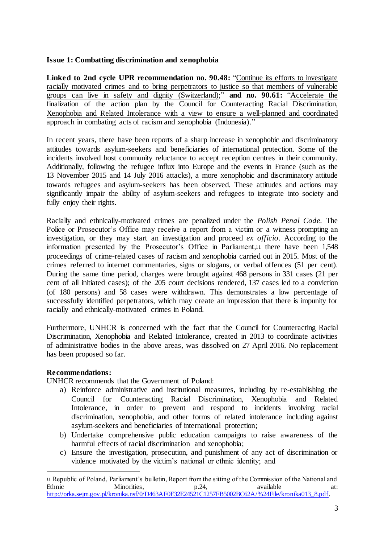## **Issue 1: Combatting discrimination and xenophobia**

**Linked to 2nd cycle UPR recommendation no. 90.48:** "Continue its efforts to investigate racially motivated crimes and to bring perpetrators to justice so that members of vulnerable groups can live in safety and dignity (Switzerland);" **and no. 90.61:** "Accelerate the finalization of the action plan by the Council for Counteracting Racial Discrimination, Xenophobia and Related Intolerance with a view to ensure a well-planned and coordinated approach in combating acts of racism and xenophobia (Indonesia)."

In recent years, there have been reports of a sharp increase in xenophobic and discriminatory attitudes towards asylum-seekers and beneficiaries of international protection. Some of the incidents involved host community reluctance to accept reception centres in their community. Additionally, following the refugee influx into Europe and the events in France (such as the 13 November 2015 and 14 July 2016 attacks), a more xenophobic and discriminatory attitude towards refugees and asylum-seekers has been observed. These attitudes and actions may significantly impair the ability of asylum-seekers and refugees to integrate into society and fully enjoy their rights.

Racially and ethnically-motivated crimes are penalized under the *Polish Penal Code.* The Police or Prosecutor's Office may receive a report from a victim or a witness prompting an investigation, or they may start an investigation and proceed *ex officio*. According to the information presented by the Prosecutor's Office in Parliament,<sup>11</sup> there have been 1,548 proceedings of crime-related cases of racism and xenophobia carried out in 2015. Most of the crimes referred to internet commentaries, signs or slogans, or verbal offences (51 per cent). During the same time period, charges were brought against 468 persons in 331 cases (21 per cent of all initiated cases); of the 205 court decisions rendered, 137 cases led to a conviction (of 180 persons) and 58 cases were withdrawn. This demonstrates a low percentage of successfully identified perpetrators, which may create an impression that there is impunity for racially and ethnically-motivated crimes in Poland.

Furthermore, UNHCR is concerned with the fact that the Council for Counteracting Racial Discrimination, Xenophobia and Related Intolerance, created in 2013 to coordinate activities of administrative bodies in the above areas, was dissolved on 27 April 2016. No replacement has been proposed so far.

## **Recommendations:**

1

UNHCR recommends that the Government of Poland:

- a) Reinforce administrative and institutional measures, including by re-establishing the Council for Counteracting Racial Discrimination, Xenophobia and Related Intolerance, in order to prevent and respond to incidents involving racial discrimination, xenophobia, and other forms of related intolerance including against asylum-seekers and beneficiaries of international protection;
- b) Undertake comprehensive public education campaigns to raise awareness of the harmful effects of racial discrimination and xenophobia;
- c) Ensure the investigation, prosecution, and punishment of any act of discrimination or violence motivated by the victim's national or ethnic identity; and

<sup>11</sup> Republic of Poland, Parliament's bulletin, Report from the sitting of the Commission of the National and Ethnic Minorities, p.24, available at: http://orka.sejm.gov.pl/kronika.nsf/0/D463AF0E32E24521C1257FB5002BC62A/%24File/kronika013\_8.pdf.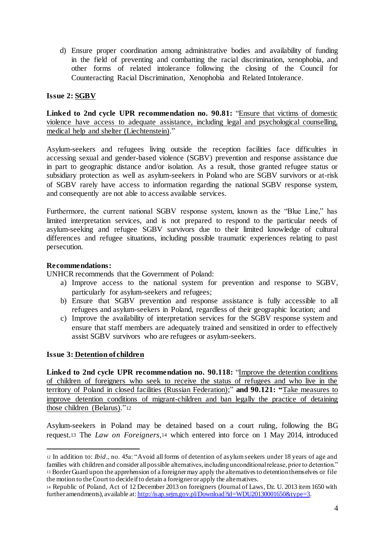d) Ensure proper coordination among administrative bodies and availability of funding in the field of preventing and combatting the racial discrimination, xenophobia, and other forms of related intolerance following the closing of the Council for Counteracting Racial Discrimination, Xenophobia and Related Intolerance.

## **Issue 2: SGBV**

**Linked to 2nd cycle UPR recommendation no. 90.81:** "Ensure that victims of domestic violence have access to adequate assistance, including legal and psychological counselling, medical help and shelter (Liechtenstein)."

Asylum-seekers and refugees living outside the reception facilities face difficulties in accessing sexual and gender-based violence (SGBV) prevention and response assistance due in part to geographic distance and/or isolation. As a result, those granted refugee status or subsidiary protection as well as asylum-seekers in Poland who are SGBV survivors or at-risk of SGBV rarely have access to information regarding the national SGBV response system, and consequently are not able to access available services.

Furthermore, the current national SGBV response system, known as the "Blue Line," has limited interpretation services, and is not prepared to respond to the particular needs of asylum-seeking and refugee SGBV survivors due to their limited knowledge of cultural differences and refugee situations, including possible traumatic experiences relating to past persecution.

#### **Recommendations:**

UNHCR recommends that the Government of Poland:

- a) Improve access to the national system for prevention and response to SGBV, particularly for asylum-seekers and refugees;
- b) Ensure that SGBV prevention and response assistance is fully accessible to all refugees and asylum-seekers in Poland, regardless of their geographic location; and
- c) Improve the availability of interpretation services for the SGBV response system and ensure that staff members are adequately trained and sensitized in order to effectively assist SGBV survivors who are refugees or asylum-seekers.

#### **Issue 3: Detention of children**

 $\overline{a}$ 

**Linked to 2nd cycle UPR recommendation no. 90.118:** "Improve the detention conditions of children of foreigners who seek to receive the status of refugees and who live in the territory of Poland in closed facilities (Russian Federation);" **and 90.121: "**Take measures to improve detention conditions of migrant-children and ban legally the practice of detaining those children (Belarus)."<sup>12</sup>

Asylum-seekers in Poland may be detained based on a court ruling, following the BG request.<sup>13</sup> The *Law on Foreigners,*<sup>14</sup> which entered into force on 1 May 2014, introduced

<sup>12</sup> In addition to: *Ibid*., no. 45a: "Avoid all forms of detention of asylum seekers under 18 years of age and families with children and consider all possible alternatives, including unconditional release, prior to detention." <sup>13</sup> Border Guard upon the apprehension of a foreigner may apply the alternatives to detention themselves or file the motion to the Court to decide if to detain a foreigner or apply the alternatives.

<sup>14</sup> Republic of Poland, Act of 12 December 2013 on foreigners (Journal of Laws, Dz. U. 2013 item 1650 with further amendments), available at: http://isap.sejm.gov.pl/Download?id=WDU20130001650&type=3.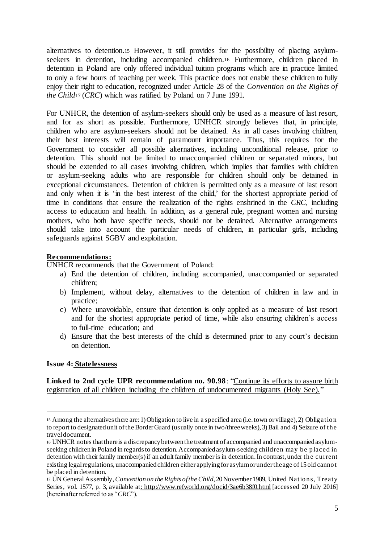alternatives to detention.<sup>15</sup> However, it still provides for the possibility of placing asylumseekers in detention, including accompanied children.<sup>16</sup> Furthermore, children placed in detention in Poland are only offered individual tuition programs which are in practice limited to only a few hours of teaching per week. This practice does not enable these children to fully enjoy their right to education, recognized under Article 28 of the *Convention on the Rights of the Child*<sup>17</sup> (*CRC*) which was ratified by Poland on 7 June 1991.

For UNHCR, the detention of asylum-seekers should only be used as a measure of last resort, and for as short as possible. Furthermore, UNHCR strongly believes that, in principle, children who are asylum-seekers should not be detained. As in all cases involving children, their best interests will remain of paramount importance. Thus, this requires for the Government to consider all possible alternatives, including unconditional release, prior to detention. This should not be limited to unaccompanied children or separated minors, but should be extended to all cases involving children, which implies that families with children or asylum-seeking adults who are responsible for children should only be detained in exceptional circumstances. Detention of children is permitted only as a measure of last resort and only when it is 'in the best interest of the child,' for the shortest appropriate period of time in conditions that ensure the realization of the rights enshrined in the *CRC,* including access to education and health. In addition, as a general rule, pregnant women and nursing mothers, who both have specific needs, should not be detained. Alternative arrangements should take into account the particular needs of children, in particular girls, including safeguards against SGBV and exploitation.

## **Recommendations:**

UNHCR recommends that the Government of Poland:

- a) End the detention of children, including accompanied, unaccompanied or separated children;
- b) Implement, without delay, alternatives to the detention of children in law and in practice;
- c) Where unavoidable, ensure that detention is only applied as a measure of last resort and for the shortest appropriate period of time, while also ensuring children's access to full-time education; and
- d) Ensure that the best interests of the child is determined prior to any court's decision on detention.

#### **Issue 4: Statelessness**

 $\overline{a}$ 

**Linked to 2nd cycle UPR recommendation no. 90.98**: "Continue its efforts to assure birth registration of all children including the children of undocumented migrants (Holy See)."

<sup>15</sup> Among the alternatives there are: 1) Obligation to live in a specified area (i.e. town or village), 2) Obligation to report to designated unit of the Border Guard (usually once in two/three weeks), 3) Bail and 4) Seizure of the travel document.

<sup>16</sup> UNHCR notes that there is a discrepancy between the treatment of accompanied and unaccompanied asylumseeking children in Poland in regards to detention. Accompanied asylum-seeking children may be placed in detention with their family member(s) if an adult family member is in detention. In contrast, under the current existing legal regulations, unaccompanied children either applying for asylum or under the age of 15 old cannot be placed in detention.

<sup>17</sup> UN General Assembly,*Convention on the Rights of the Child*, 20November 1989, United Nations, Treaty Series, vol. 1577, p. 3, available at: http://www.refworld.org/docid/3ae6b38f0.html [accessed 20 July 2016] (hereinafter referred to as "*CRC*").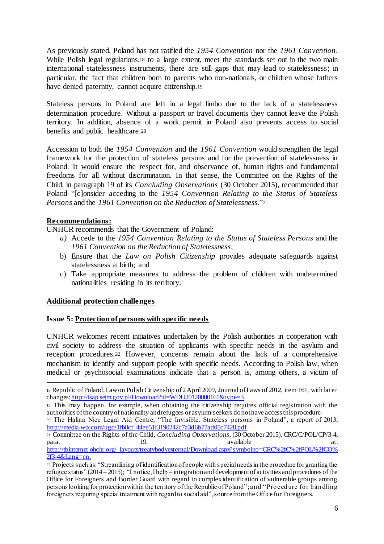As previously stated, Poland has not ratified the *1954 Convention* nor the *1961 Convention*. While Polish legal regulations,<sup>18</sup> to a large extent, meet the standards set out in the two main international statelessness instruments, there are still gaps that may lead to statelessness; in particular, the fact that children born to parents who non-nationals, or children whose fathers have denied paternity, cannot acquire citizenship.<sup>19</sup>

Stateless persons in Poland are left in a legal limbo due to the lack of a statelessness determination procedure. Without a passport or travel documents they cannot leave the Polish territory. In addition, absence of a work permit in Poland also prevents access to social benefits and public healthcare.<sup>20</sup>

Accession to both the *1954 Convention* and the *1961 Convention* would strengthen the legal framework for the protection of stateless persons and for the prevention of statelessness in Poland. It would ensure the respect for, and observance of, human rights and fundamental freedoms for all without discrimination. In that sense, the Committee on the Rights of the Child, in paragraph 19 of its *Concluding Observations* (30 October 2015), recommended that Poland "[c]onsider acceding to the *1954 Convention Relating to the Status of Stateless Persons* and the *1961 Convention on the Reduction of Statelessness*."<sup>21</sup>

## **Recommendations:**

 $\overline{a}$ 

UNHCR recommends that the Government of Poland:

- *a)* Accede to the *1954 Convention Relating to the Status of Stateless Persons* and the *1961 Convention on the Reduction of Statelessness*;
- b) Ensure that the *Law on Polish Citizenship* provides adequate safeguards against statelessness at birth; and
- c) Take appropriate measures to address the problem of children with undetermined nationalities residing in its territory.

## **Additional protection challenges**

## **Issue 5: Protection of persons with specific needs**

UNHCR welcomes recent initiatives undertaken by the Polish authorities in cooperation with civil society to address the situation of applicants with specific needs in the asylum and reception procedures.<sup>22</sup> However, concerns remain about the lack of a comprehensive mechanism to identify and support people with specific needs. According to Polish law, when medical or psychosocial examinations indicate that a person is, among others, a victim of

<sup>18</sup> Republic of Poland, Law on Polish Citizenship of 2 April 2009, Journal of Laws of 2012, item 161, with later changes: http://isap.sejm.gov.pl/Download?id=WDU20120000161&type=3

<sup>19</sup> This may happen, for example, when obtaining the citizenship requires official registration with the authorities of the country of nationality and refugees or asylum-seekers do not have accessthis procedure.

<sup>20</sup> The Halina Niec Legal Aid Centre, "The Invisible. Stateless persons in Poland", a report of 2013, http://media.wix.com/ugd/1fb8cf\_44ee51f3190242c7a3d6b77ad05c7428.pdf

<sup>21</sup> Committee on the Rights of the Child, *Concluding Observations*, (30 October 2015), CRC/C/POL/CP/3-4, para. 19, 19, available at:

http://tbinternet.ohchr.org/\_layouts/treatybodyexternal/Download.aspx?symbolno=CRC%2fC%2fPOL%2fCO%  $2f\overline{3}$ -4&Lang=en.

<sup>22</sup> Projects such as: "Streamlining of identification of people with special needs in the procedure for granting the refugee status" (2014 – 2015); "I notice, I help – integration and development of activities and procedures of the Office for Foreigners and Border Guard with regard to complex identification of vulnerable groups among persons looking for protection within the territory of the Republic of Poland";and "Procedure for handling foreigners requiring special treatment with regard to social aid", source from the Office for Foreigners.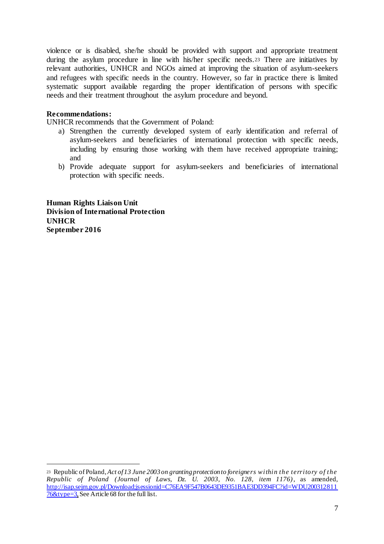violence or is disabled, she/he should be provided with support and appropriate treatment during the asylum procedure in line with his/her specific needs.<sup>23</sup> There are initiatives by relevant authorities, UNHCR and NGOs aimed at improving the situation of asylum-seekers and refugees with specific needs in the country. However, so far in practice there is limited systematic support available regarding the proper identification of persons with specific needs and their treatment throughout the asylum procedure and beyond.

#### **Recommendations:**

 $\overline{a}$ 

UNHCR recommends that the Government of Poland:

- a) Strengthen the currently developed system of early identification and referral of asylum-seekers and beneficiaries of international protection with specific needs, including by ensuring those working with them have received appropriate training; and
- b) Provide adequate support for asylum-seekers and beneficiaries of international protection with specific needs.

**Human Rights Liaison Unit Division of International Protection UNHCR September 2016**

<sup>23</sup> Republic of Poland, *Act of 13 June 2003 on granting protection to foreigners within the territory of the Republic of Poland (Journal of Laws, Dz. U. 2003, No. 128, item 1176)*, as amended, http://isap.sejm.gov.pl/Download;jsessionid=C76EA9F547B0643DE9351BAE3DD394FC?id=WDU200312811  $76\&$ type=3, See Article 68 for the full list.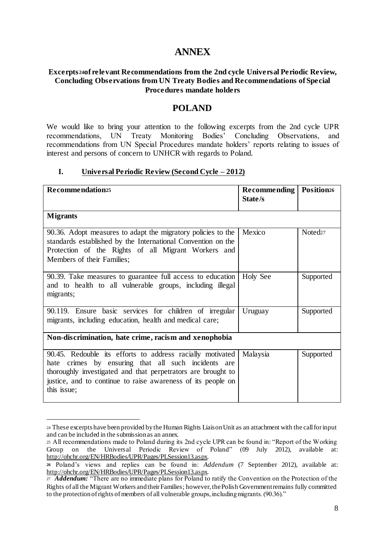# **ANNEX**

#### **Excerpts <sup>24</sup>of relevant Recommendations from the 2nd cycle Universal Periodic Review, Concluding Observations from UN Treaty Bodies and Recommendations of Special Procedures mandate holders**

## **POLAND**

We would like to bring your attention to the following excerpts from the 2nd cycle UPR recommendations, UN Treaty Monitoring Bodies' Concluding Observations, and recommendations from UN Special Procedures mandate holders' reports relating to issues of interest and persons of concern to UNHCR with regards to Poland.

#### **I. Universal Periodic Review (Second Cycle – 2012)**

| Recommendation <sup>25</sup>                                                                                                                                                                                                                                    | <b>Recommending   Position26</b><br>State/s |                     |  |
|-----------------------------------------------------------------------------------------------------------------------------------------------------------------------------------------------------------------------------------------------------------------|---------------------------------------------|---------------------|--|
| <b>Migrants</b>                                                                                                                                                                                                                                                 |                                             |                     |  |
| 90.36. Adopt measures to adapt the migratory policies to the<br>standards established by the International Convention on the<br>Protection of the Rights of all Migrant Workers and<br>Members of their Families;                                               | Mexico                                      | Noted <sub>27</sub> |  |
| 90.39. Take measures to guarantee full access to education<br>and to health to all vulnerable groups, including illegal<br>migrants;                                                                                                                            | <b>Holy See</b>                             | Supported           |  |
| 90.119. Ensure basic services for children of irregular<br>migrants, including education, health and medical care;                                                                                                                                              | Uruguay                                     | Supported           |  |
| Non-discrimination, hate crime, racism and xenophobia                                                                                                                                                                                                           |                                             |                     |  |
| 90.45. Redouble its efforts to address racially motivated<br>hate crimes by ensuring that all such incidents are<br>thoroughly investigated and that perpetrators are brought to<br>justice, and to continue to raise awareness of its people on<br>this issue; | Malaysia                                    | Supported           |  |

 $\overline{a}$ <sup>24</sup> These excerpts have been provided by the Human Rights Liaison Unit as an attachment with the call for input and can be included in the submission as an annex.

<sup>25</sup> All recommendations made to Poland during its 2nd cycle UPR can be found in: "Report of the Working Group on the Universal Periodic Review of Poland" (09 July 2012), available at: http://ohchr.org/EN/HRBodies/UPR/Pages/PLSession13.aspx.

**<sup>26</sup>** Poland's views and replies can be found in: *Addendum* (7 September 2012), available at: http://ohchr.org/EN/HRBodies/UPR/Pages/PLSession13.aspx.

<sup>27</sup> *Addendum:* "There are no immediate plans for Poland to ratify the Convention on the Protection of the Rights of all the Migrant Workers and their Families; however, the Polish Government remains fully committed to the protection of rights of members of all vulnerable groups, including migrants. (90.36)."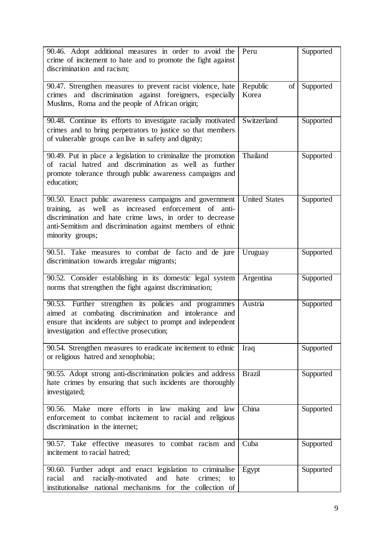| 90.46. Adopt additional measures in order to avoid the<br>crime of incitement to hate and to promote the fight against<br>discrimination and racism;                                                                                                                 | Peru                      | Supported |
|----------------------------------------------------------------------------------------------------------------------------------------------------------------------------------------------------------------------------------------------------------------------|---------------------------|-----------|
| 90.47. Strengthen measures to prevent racist violence, hate<br>crimes and discrimination against foreigners, especially<br>Muslims, Roma and the people of African origin;                                                                                           | Republic<br>of l<br>Korea | Supported |
| 90.48. Continue its efforts to investigate racially motivated<br>crimes and to bring perpetrators to justice so that members<br>of vulnerable groups can live in safety and dignity;                                                                                 | Switzerland               | Supported |
| 90.49. Put in place a legislation to criminalize the promotion<br>of racial hatred and discrimination as well as further<br>promote tolerance through public awareness campaigns and<br>education;                                                                   | Thailand                  | Supported |
| 90.50. Enact public awareness campaigns and government<br>increased enforcement of anti-<br>training,<br>well as<br>as<br>discrimination and hate crime laws, in order to decrease<br>anti-Semitism and discrimination against members of ethnic<br>minority groups; | <b>United States</b>      | Supported |
| 90.51. Take measures to combat de facto and de jure<br>discrimination towards irregular migrants;                                                                                                                                                                    | Uruguay                   | Supported |
| 90.52. Consider establishing in its domestic legal system<br>norms that strengthen the fight against discrimination;                                                                                                                                                 | Argentina                 | Supported |
| 90.53. Further strengthen its policies and programmes<br>aimed at combating discrimination and intolerance and<br>ensure that incidents are subject to prompt and independent<br>investigation and effective prosecution;                                            | Austria                   | Supported |
| 90.54. Strengthen measures to eradicate incitement to ethnic<br>or religious hatred and xenophobia;                                                                                                                                                                  | Iraq                      | Supported |
| 90.55. Adopt strong anti-discrimination policies and address<br>hate crimes by ensuring that such incidents are thoroughly<br>investigated;                                                                                                                          | <b>Brazil</b>             | Supported |
| 90.56.<br>Make more efforts<br>in law<br>making and law<br>enforcement to combat incitement to racial and religious<br>discrimination in the internet;                                                                                                               | China                     | Supported |
| 90.57. Take effective measures to combat racism and<br>incitement to racial hatred;                                                                                                                                                                                  | Cuba                      | Supported |
| 90.60. Further adopt and enact legislation to criminalise<br>racially-motivated<br>and<br>and hate<br>racial<br>crimes;<br>to<br>institutionalise national mechanisms for the collection of                                                                          | Egypt                     | Supported |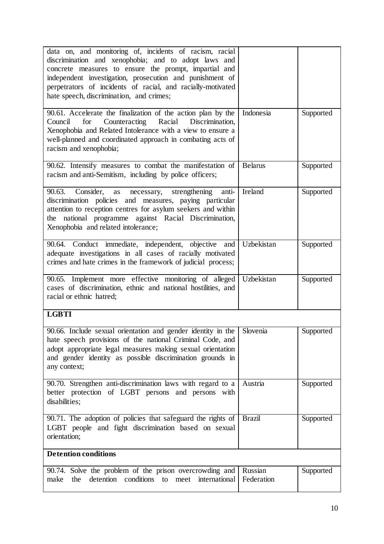| data on, and monitoring of, incidents of racism, racial<br>discrimination and xenophobia; and to adopt laws and<br>concrete measures to ensure the prompt, impartial and<br>independent investigation, prosecution and punishment of<br>perpetrators of incidents of racial, and racially-motivated<br>hate speech, discrimination, and crimes; |                       |           |  |
|-------------------------------------------------------------------------------------------------------------------------------------------------------------------------------------------------------------------------------------------------------------------------------------------------------------------------------------------------|-----------------------|-----------|--|
| 90.61. Accelerate the finalization of the action plan by the<br>Counteracting Racial<br>Discrimination,<br>for<br>Council<br>Xenophobia and Related Intolerance with a view to ensure a<br>well-planned and coordinated approach in combating acts of<br>racism and xenophobia;                                                                 | Indonesia             | Supported |  |
| 90.62. Intensify measures to combat the manifestation of<br>racism and anti-Semitism, including by police officers;                                                                                                                                                                                                                             | <b>Belarus</b>        | Supported |  |
| 90.63.<br>Consider,<br>strengthening<br>necessary,<br>anti-<br>as<br>discrimination policies and measures, paying particular<br>attention to reception centres for asylum seekers and within<br>the national programme against Racial Discrimination,<br>Xenophobia and related intolerance;                                                    | Ireland               | Supported |  |
| 90.64. Conduct immediate, independent, objective and<br>adequate investigations in all cases of racially motivated<br>crimes and hate crimes in the framework of judicial process;                                                                                                                                                              | Uzbekistan            | Supported |  |
| 90.65. Implement more effective monitoring of alleged<br>cases of discrimination, ethnic and national hostilities, and<br>racial or ethnic hatred;                                                                                                                                                                                              | Uzbekistan            | Supported |  |
| <b>LGBTI</b>                                                                                                                                                                                                                                                                                                                                    |                       |           |  |
| 90.66. Include sexual orientation and gender identity in the<br>hate speech provisions of the national Criminal Code, and<br>adopt appropriate legal measures making sexual orientation<br>and gender identity as possible discrimination grounds in<br>any context;                                                                            | Slovenia              | Supported |  |
| 90.70. Strengthen anti-discrimination laws with regard to a<br>better protection of LGBT persons and persons with<br>disabilities;                                                                                                                                                                                                              | Austria               | Supported |  |
| 90.71. The adoption of policies that safeguard the rights of<br>LGBT people and fight discrimination based on sexual<br>orientation;                                                                                                                                                                                                            | <b>Brazil</b>         | Supported |  |
| <b>Detention conditions</b>                                                                                                                                                                                                                                                                                                                     |                       |           |  |
| 90.74. Solve the problem of the prison overcrowding and<br>detention conditions to meet international<br>the<br>make                                                                                                                                                                                                                            | Russian<br>Federation | Supported |  |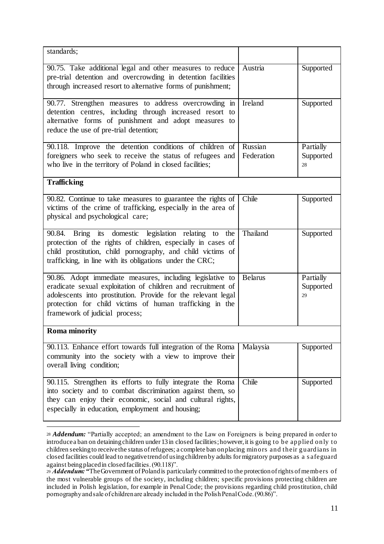| standards;                                                                                                                                                                                                                                                                               |                       |                              |
|------------------------------------------------------------------------------------------------------------------------------------------------------------------------------------------------------------------------------------------------------------------------------------------|-----------------------|------------------------------|
| 90.75. Take additional legal and other measures to reduce<br>pre-trial detention and overcrowding in detention facilities<br>through increased resort to alternative forms of punishment;                                                                                                | Austria               | Supported                    |
| 90.77. Strengthen measures to address overcrowding in<br>detention centres, including through increased resort to<br>alternative forms of punishment and adopt measures to<br>reduce the use of pre-trial detention;                                                                     | Ireland               | Supported                    |
| 90.118. Improve the detention conditions of children of<br>foreigners who seek to receive the status of refugees and<br>who live in the territory of Poland in closed facilities;                                                                                                        | Russian<br>Federation | Partially<br>Supported<br>28 |
| <b>Trafficking</b>                                                                                                                                                                                                                                                                       |                       |                              |
| 90.82. Continue to take measures to guarantee the rights of<br>victims of the crime of trafficking, especially in the area of<br>physical and psychological care;                                                                                                                        | Chile                 | Supported                    |
| 90.84. Bring its domestic legislation relating to the<br>protection of the rights of children, especially in cases of<br>child prostitution, child pornography, and child victims of<br>trafficking, in line with its obligations under the CRC;                                         | Thailand              | Supported                    |
| 90.86. Adopt immediate measures, including legislative to<br>eradicate sexual exploitation of children and recruitment of<br>adolescents into prostitution. Provide for the relevant legal<br>protection for child victims of human trafficking in the<br>framework of judicial process; | <b>Belarus</b>        | Partially<br>Supported<br>29 |
| <b>Roma</b> minority                                                                                                                                                                                                                                                                     |                       |                              |
| 90.113. Enhance effort towards full integration of the Roma<br>community into the society with a view to improve their<br>overall living condition;                                                                                                                                      | Malaysia              | Supported                    |
| 90.115. Strengthen its efforts to fully integrate the Roma<br>into society and to combat discrimination against them, so<br>they can enjoy their economic, social and cultural rights,<br>especially in education, employment and housing;                                               | Chile                 | Supported                    |

<sup>28</sup> *Addendum:* "Partially accepted; an amendment to the Law on Foreigners is being prepared in order to introduce a ban on detaining children under 13 in closed facilities; however, it is going to be applied only to children seeking to receive the status of refugees; a complete ban on placing minors and their guardians in closed facilities could lead to negative trend of using children by adults for migratory purposes as a s afeguard against being placed in closed facilities. (90.118)".

 $\overline{a}$ 

<sup>&</sup>lt;sup>29</sup> *Addendum:* "The Government of Poland is particularly committed to the protection of rights of members of the most vulnerable groups of the society, including children; specific provisions protecting children are included in Polish legislation, for example in Penal Code; the provisions regarding child prostitution, child pornography and sale of children are already included in the Polish Penal Code. (90.86)".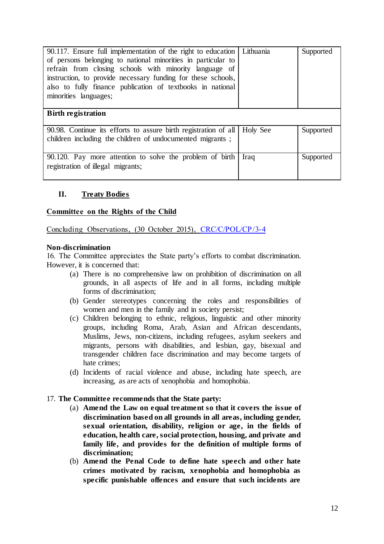| 90.117. Ensure full implementation of the right to education<br>of persons belonging to national minorities in particular to<br>refrain from closing schools with minority language of<br>instruction, to provide necessary funding for these schools,<br>also to fully finance publication of textbooks in national<br>minorities languages; | Lithuania | Supported |
|-----------------------------------------------------------------------------------------------------------------------------------------------------------------------------------------------------------------------------------------------------------------------------------------------------------------------------------------------|-----------|-----------|
| <b>Birth registration</b>                                                                                                                                                                                                                                                                                                                     |           |           |
| 90.98. Continue its efforts to assure birth registration of all<br>children including the children of undocumented migrants;                                                                                                                                                                                                                  | Holy See  | Supported |
| 90.120. Pay more attention to solve the problem of birth<br>registration of illegal migrants;                                                                                                                                                                                                                                                 | Iraq      | Supported |

## **II. Treaty Bodies**

#### **Committee on the Rights of the Child**

Concluding Observations, (30 October 2015), CRC/C/POL/CP/3-4

#### **Non-discrimination**

16. The Committee appreciates the State party's efforts to combat discrimination. However, it is concerned that:

- (a) There is no comprehensive law on prohibition of discrimination on all grounds, in all aspects of life and in all forms, including multiple forms of discrimination;
- (b) Gender stereotypes concerning the roles and responsibilities of women and men in the family and in society persist;
- (c) Children belonging to ethnic, religious, linguistic and other minority groups, including Roma, Arab, Asian and African descendants, Muslims, Jews, non-citizens, including refugees, asylum seekers and migrants, persons with disabilities, and lesbian, gay, bisexual and transgender children face discrimination and may become targets of hate crimes;
- (d) Incidents of racial violence and abuse, including hate speech, are increasing, as are acts of xenophobia and homophobia.

## 17. **The Committee recommends that the State party:**

- (a) **Amend the Law on equal treatment so that it covers the issue of discrimination based on all grounds in all areas, including gender, sexual orientation, disability, religion or age, in the fields of education, health care, social protection, housing, and private and family life, and provides for the definition of multiple forms of discrimination;**
- (b) **Amend the Penal Code to define hate speech and other hate crimes motivated by racism, xenophobia and homophobia as specific punishable offences and ensure that such incidents are**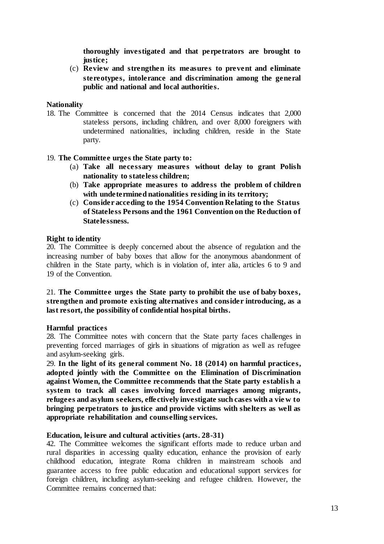**thoroughly investigated and that perpetrators are brought to justice;** 

(c) **Review and strengthen its measures to prevent and eliminate stereotypes, intolerance and discrimination among the general public and national and local authorities.**

#### **Nationality**

18. The Committee is concerned that the 2014 Census indicates that 2,000 stateless persons, including children, and over 8,000 foreigners with undetermined nationalities, including children, reside in the State party.

#### 19. **The Committee urges the State party to:**

- (a) **Take all necessary measures without delay to grant Polish nationality to stateless children;**
- (b) **Take appropriate measures to address the problem of children with undetermined nationalities residing in its territory;**
- (c) **Consider acceding to the 1954 Convention Relating to the Status of Stateless Persons and the 1961 Convention on the Reduction of Statelessness.**

#### **Right to identity**

20. The Committee is deeply concerned about the absence of regulation and the increasing number of baby boxes that allow for the anonymous abandonment of children in the State party, which is in violation of, inter alia, articles 6 to 9 and 19 of the Convention.

#### 21. **The Committee urges the State party to prohibit the use of baby boxes, strengthen and promote existing alternatives and consider introducing, as a last resort, the possibility of confidential hospital births.**

#### **Harmful practices**

28. The Committee notes with concern that the State party faces challenges in preventing forced marriages of girls in situations of migration as well as refugee and asylum-seeking girls.

29. **In the light of its general comment No. 18 (2014) on harmful practices, adopted jointly with the Committee on the Elimination of Discrimination against Women, the Committee recommends that the State party establis h a system to track all cases involving forced marriages among migrants, refugees and asylum seekers, effe ctively investigate such cases with a vie w to bringing perpetrators to justice and provide victims with shelters as well as appropriate rehabilitation and counselling services.**

#### **Education, leisure and cultural activities (arts. 28-31)**

42. The Committee welcomes the significant efforts made to reduce urban and rural disparities in accessing quality education, enhance the provision of early childhood education, integrate Roma children in mainstream schools and guarantee access to free public education and educational support services for foreign children, including asylum-seeking and refugee children. However, the Committee remains concerned that: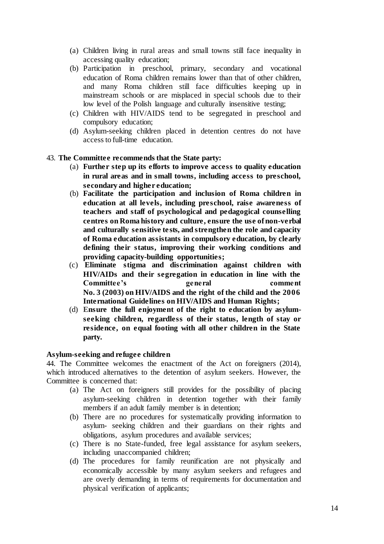- (a) Children living in rural areas and small towns still face inequality in accessing quality education;
- (b) Participation in preschool, primary, secondary and vocational education of Roma children remains lower than that of other children, and many Roma children still face difficulties keeping up in mainstream schools or are misplaced in special schools due to their low level of the Polish language and culturally insensitive testing;
- (c) Children with HIV/AIDS tend to be segregated in preschool and compulsory education;
- (d) Asylum-seeking children placed in detention centres do not have access to full-time education.
- 43. **The Committee recommends that the State party:**
	- (a) **Further step up its efforts to improve access to quality education in rural areas and in small towns, including access to preschool, secondary and higher education;**
	- (b) **Facilitate the participation and inclusion of Roma children in education at all levels, including preschool, raise awareness of teachers and staff of psychological and pedagogical counselling centres on Roma history and culture, ensure the use of non-verbal and culturally sensitive tests, and strengthen the role and capacity of Roma education assistants in compulsory education, by clearly defining their status, improving their working conditions and providing capacity-building opportunities;**
	- (c) **Eliminate stigma and discrimination against children with HIV/AIDs and their segregation in education in line with the**  Committee's general comment **No. 3 (2003) on HIV/AIDS and the right of the child and the 2006 International Guidelines on HIV/AIDS and Human Rights;**
	- (d) **Ensure the full enjoyment of the right to education by asylumseeking children, regardless of their status, length of stay or residence, on equal footing with all other children in the State party.**

#### **Asylum-seeking and refugee children**

44. The Committee welcomes the enactment of the Act on foreigners (2014), which introduced alternatives to the detention of asylum seekers. However, the Committee is concerned that:

- (a) The Act on foreigners still provides for the possibility of placing asylum-seeking children in detention together with their family members if an adult family member is in detention;
- (b) There are no procedures for systematically providing information to asylum- seeking children and their guardians on their rights and obligations, asylum procedures and available services;
- (c) There is no State-funded, free legal assistance for asylum seekers, including unaccompanied children;
- (d) The procedures for family reunification are not physically and economically accessible by many asylum seekers and refugees and are overly demanding in terms of requirements for documentation and physical verification of applicants;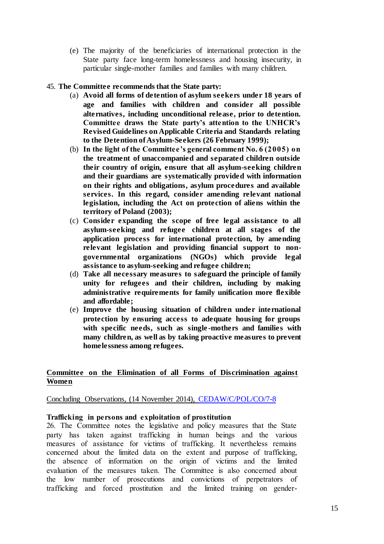(e) The majority of the beneficiaries of international protection in the State party face long-term homelessness and housing insecurity, in particular single-mother families and families with many children.

#### 45. **The Committee recommends that the State party:**

- (a) **Avoid all forms of detention of asylum seekers under 18 years of age and families with children and consider all possible alternatives, including unconditional release, prior to detention. Committee draws the State party's attention to the UNHCR's Revised Guidelines on Applicable Criteria and Standards relating to the Detention of Asylum-Seekers (26 February 1999);**
- (b) **In the light of the Committee's general comment No. 6 (2005) on the treatment of unaccompanied and separated children outside their country of origin, ensure that all asylum-seeking children and their guardians are systematically provided with information on their rights and obligations, asylum procedures and available services. In this regard, consider amending relevant national legislation, including the Act on protection of aliens within the territory of Poland (2003);**
- (c) **Consider expanding the scope of free legal assistance to all asylum-seeking and refugee children at all stages of the application process for international protection, by amending relevant legislation and providing financial support to nongovernmental organizations (NGOs) which provide legal assistance to asylum-seeking and refugee children;**
- (d) **Take all necessary measures to safeguard the principle of family unity for refugees and their children, including by making administrative requirements for family unification more flexible and affordable;**
- (e) **Improve the housing situation of children under international protection by ensuring access to adequate housing for groups with specific needs, such as single -mothers and families with many children, as well as by taking proactive measures to prevent homelessness among refugees.**

#### **Committee on the Elimination of all Forms of Discrimination against Women**

#### Concluding Observations, (14 November 2014), CEDAW/C/POL/CO/7-8

## **Trafficking in persons and exploitation of prostitution**

26. The Committee notes the legislative and policy measures that the State party has taken against trafficking in human beings and the various measures of assistance for victims of trafficking. It nevertheless remains concerned about the limited data on the extent and purpose of trafficking, the absence of information on the origin of victims and the limited evaluation of the measures taken. The Committee is also concerned about the low number of prosecutions and convictions of perpetrators of trafficking and forced prostitution and the limited training on gender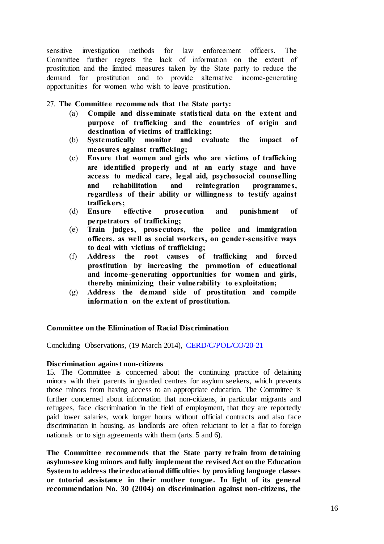sensitive investigation methods for law enforcement officers. The Committee further regrets the lack of information on the extent of prostitution and the limited measures taken by the State party to reduce the demand for prostitution and to provide alternative income-generating opportunities for women who wish to leave prostitution.

27. **The Committee recommends that the State party:**

- (a) **Compile and disseminate statistical data on the extent and purpose of trafficking and the countries of origin and destination of victims of trafficking;**
- (b) **Systematically monitor and evaluate the impact of measures against trafficking;**
- (c) **Ensure that women and girls who are victims of trafficking are identified properly and at an early stage and have access to medical care, legal aid, psychosocial counselling and rehabilitation and reintegration programmes, regardless of their ability or willingness to testify against traffickers;**
- (d) **Ensure effective prosecution and punishment of perpetrators of trafficking;**
- (e) **Train judges, prosecutors, the police and immigration officers, as well as social workers, on gender-sensitive ways to deal with victims of trafficking;**
- (f) **Address the root causes of trafficking and forced prostitution by increasing the promotion of educational and income-generating opportunities for women and girls, thereby minimizing their vulnerability to exploitation;**
- (g) **Address the demand side of prostitution and compile information on the extent of prostitution.**

## **Committee on the Elimination of Racial Discrimination**

#### Concluding Observations, (19 March 2014), CERD/C/POL/CO/20-21

#### **Discrimination against non-citizens**

15. The Committee is concerned about the continuing practice of detaining minors with their parents in guarded centres for asylum seekers, which prevents those minors from having access to an appropriate education. The Committee is further concerned about information that non-citizens, in particular migrants and refugees, face discrimination in the field of employment, that they are reportedly paid lower salaries, work longer hours without official contracts and also face discrimination in housing, as landlords are often reluctant to let a flat to foreign nationals or to sign agreements with them (arts. 5 and 6).

**The Committee recommends that the State party refrain from detaining asylum-seeking minors and fully implement the revised Act on the Education System to address their educational difficulties by providing language classes or tutorial assistance in their mother tongue. In light of its general recommendation No. 30 (2004) on discrimination against non-citizens, the**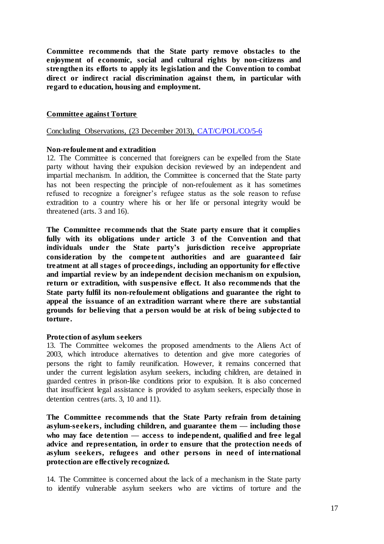**Committee recommends that the State party remove obstacles to the enjoyment of economic, social and cultural rights by non-citizens and strengthen its efforts to apply its legislation and the Convention to combat direct or indirect racial discrimination against them, in particular with regard to education, housing and employment.**

#### **Committee against Torture**

Concluding Observations, (23 December 2013), CAT/C/POL/CO/5-6

#### **Non-refoulement and extradition**

12. The Committee is concerned that foreigners can be expelled from the State party without having their expulsion decision reviewed by an independent and impartial mechanism. In addition, the Committee is concerned that the State party has not been respecting the principle of non-refoulement as it has sometimes refused to recognize a foreigner's refugee status as the sole reason to refuse extradition to a country where his or her life or personal integrity would be threatened (arts. 3 and 16).

**The Committee recommends that the State party ensure that it complies fully with its obligations under article 3 of the Convention and that individuals under the State party's jurisdiction receive appropriate consideration by the competent authorities and are guaranteed fair treatment at all stages of proceedings, including an opportunity for effective and impartial review by an independent decision mechanism on expulsion, return or extradition, with suspensive effect. It also recommends that the State party fulfil its non-refoulement obligations and guarantee the right to appeal the issuance of an extradition warrant where there are substantial grounds for believing that a person would be at risk of being subjected to torture.** 

#### **Protection of asylum seekers**

13. The Committee welcomes the proposed amendments to the Aliens Act of 2003, which introduce alternatives to detention and give more categories of persons the right to family reunification. However, it remains concerned that under the current legislation asylum seekers, including children, are detained in guarded centres in prison-like conditions prior to expulsion. It is also concerned that insufficient legal assistance is provided to asylum seekers, especially those in detention centres (arts. 3, 10 and 11).

**The Committee recommends that the State Party refrain from detaining asylum-seekers, including children, and guarantee them — including those who may face detention — access to independent, qualified and free legal advice and representation, in order to ensure that the protection needs of asylum seekers, refugees and other persons in need of international protection are effectively recognized.**

14. The Committee is concerned about the lack of a mechanism in the State party to identify vulnerable asylum seekers who are victims of torture and the